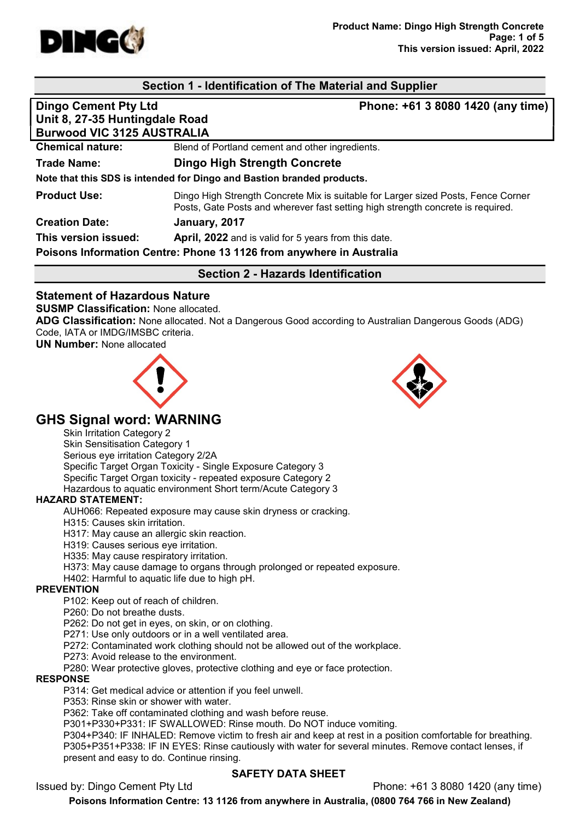

## Section 1 - Identification of The Material and Supplier

| <b>Dingo Cement Pty Ltd</b><br>Unit 8, 27-35 Huntingdale Road<br><b>Burwood VIC 3125 AUSTRALIA</b> | Phone: +61 3 8080 1420 (any time)                                                                                                                                    |
|----------------------------------------------------------------------------------------------------|----------------------------------------------------------------------------------------------------------------------------------------------------------------------|
| <b>Chemical nature:</b>                                                                            | Blend of Portland cement and other ingredients.                                                                                                                      |
| <b>Trade Name:</b>                                                                                 | Dingo High Strength Concrete                                                                                                                                         |
|                                                                                                    | Note that this SDS is intended for Dingo and Bastion branded products.                                                                                               |
| <b>Product Use:</b>                                                                                | Dingo High Strength Concrete Mix is suitable for Larger sized Posts, Fence Corner<br>Posts, Gate Posts and wherever fast setting high strength concrete is required. |
| <b>Creation Date:</b>                                                                              | January, 2017                                                                                                                                                        |
| This version issued:                                                                               | April, 2022 and is valid for 5 years from this date.                                                                                                                 |
|                                                                                                    | Poisons Information Centre: Phone 13 1126 from anywhere in Australia                                                                                                 |

Section 2 - Hazards Identification

## Statement of Hazardous Nature

#### SUSMP Classification: None allocated.

ADG Classification: None allocated. Not a Dangerous Good according to Australian Dangerous Goods (ADG) Code, IATA or IMDG/IMSBC criteria.

UN Number: None allocated





# GHS Signal word: WARNING

Skin Irritation Category 2 Skin Sensitisation Category 1 Serious eye irritation Category 2/2A Specific Target Organ Toxicity - Single Exposure Category 3 Specific Target Organ toxicity - repeated exposure Category 2 Hazardous to aquatic environment Short term/Acute Category 3

#### HAZARD STATEMENT:

AUH066: Repeated exposure may cause skin dryness or cracking.

H315: Causes skin irritation.

H317: May cause an allergic skin reaction.

H319: Causes serious eye irritation.

H335: May cause respiratory irritation.

H373: May cause damage to organs through prolonged or repeated exposure.

H402: Harmful to aquatic life due to high pH.

#### PREVENTION

P102: Keep out of reach of children.

P260: Do not breathe dusts.

P262: Do not get in eyes, on skin, or on clothing.

P271: Use only outdoors or in a well ventilated area.

P272: Contaminated work clothing should not be allowed out of the workplace.

P273: Avoid release to the environment.

P280: Wear protective gloves, protective clothing and eye or face protection.

#### RESPONSE

P314: Get medical advice or attention if you feel unwell.

P353: Rinse skin or shower with water.

P362: Take off contaminated clothing and wash before reuse.

P301+P330+P331: IF SWALLOWED: Rinse mouth. Do NOT induce vomiting.

P304+P340: IF INHALED: Remove victim to fresh air and keep at rest in a position comfortable for breathing. P305+P351+P338: IF IN EYES: Rinse cautiously with water for several minutes. Remove contact lenses, if present and easy to do. Continue rinsing.

#### SAFETY DATA SHEET

Issued by: Dingo Cement Pty Ltd Phone: +61 3 8080 1420 (any time)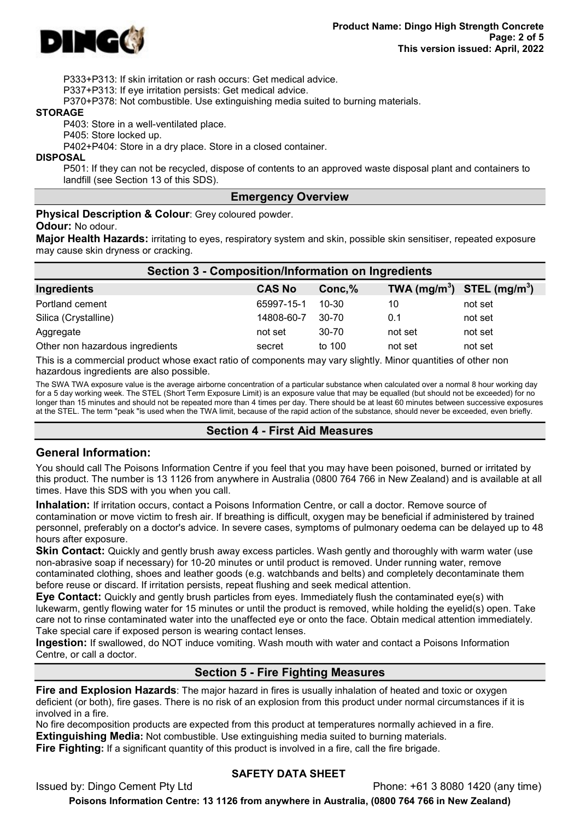

P333+P313: If skin irritation or rash occurs: Get medical advice.

P337+P313: If eye irritation persists: Get medical advice.

P370+P378: Not combustible. Use extinguishing media suited to burning materials.

#### **STORAGE**

P403: Store in a well-ventilated place.

P405: Store locked up.

P402+P404: Store in a dry place. Store in a closed container.

**DISPOSAL** 

P501: If they can not be recycled, dispose of contents to an approved waste disposal plant and containers to landfill (see Section 13 of this SDS).

#### Emergency Overview

Physical Description & Colour: Grey coloured powder.

#### Odour: No odour.

Major Health Hazards: irritating to eyes, respiratory system and skin, possible skin sensitiser, repeated exposure may cause skin dryness or cracking.

| <b>Section 3 - Composition/Information on Ingredients</b> |               |           |                                |         |  |
|-----------------------------------------------------------|---------------|-----------|--------------------------------|---------|--|
| Ingredients                                               | <b>CAS No</b> | Conc,%    | TWA $(mg/m^3)$ STEL $(mg/m^3)$ |         |  |
| Portland cement                                           | 65997-15-1    | $10 - 30$ | 10                             | not set |  |
| Silica (Crystalline)                                      | 14808-60-7    | $30 - 70$ | 0.1                            | not set |  |
| Aggregate                                                 | not set       | 30-70     | not set                        | not set |  |
| Other non hazardous ingredients                           | secret        | to 100    | not set                        | not set |  |

This is a commercial product whose exact ratio of components may vary slightly. Minor quantities of other non hazardous ingredients are also possible.

The SWA TWA exposure value is the average airborne concentration of a particular substance when calculated over a normal 8 hour working day for a 5 day working week. The STEL (Short Term Exposure Limit) is an exposure value that may be equalled (but should not be exceeded) for no longer than 15 minutes and should not be repeated more than 4 times per day. There should be at least 60 minutes between successive exposures at the STEL. The term "peak "is used when the TWA limit, because of the rapid action of the substance, should never be exceeded, even briefly.

#### Section 4 - First Aid Measures

#### General Information:

You should call The Poisons Information Centre if you feel that you may have been poisoned, burned or irritated by this product. The number is 13 1126 from anywhere in Australia (0800 764 766 in New Zealand) and is available at all times. Have this SDS with you when you call.

Inhalation: If irritation occurs, contact a Poisons Information Centre, or call a doctor. Remove source of contamination or move victim to fresh air. If breathing is difficult, oxygen may be beneficial if administered by trained personnel, preferably on a doctor's advice. In severe cases, symptoms of pulmonary oedema can be delayed up to 48 hours after exposure.

**Skin Contact:** Quickly and gently brush away excess particles. Wash gently and thoroughly with warm water (use non-abrasive soap if necessary) for 10-20 minutes or until product is removed. Under running water, remove contaminated clothing, shoes and leather goods (e.g. watchbands and belts) and completely decontaminate them before reuse or discard. If irritation persists, repeat flushing and seek medical attention.

Eye Contact: Quickly and gently brush particles from eyes. Immediately flush the contaminated eye(s) with lukewarm, gently flowing water for 15 minutes or until the product is removed, while holding the eyelid(s) open. Take care not to rinse contaminated water into the unaffected eye or onto the face. Obtain medical attention immediately. Take special care if exposed person is wearing contact lenses.

Ingestion: If swallowed, do NOT induce vomiting. Wash mouth with water and contact a Poisons Information Centre, or call a doctor.

#### Section 5 - Fire Fighting Measures

Fire and Explosion Hazards: The major hazard in fires is usually inhalation of heated and toxic or oxygen deficient (or both), fire gases. There is no risk of an explosion from this product under normal circumstances if it is involved in a fire.

No fire decomposition products are expected from this product at temperatures normally achieved in a fire. **Extinguishing Media:** Not combustible. Use extinguishing media suited to burning materials. **Fire Fighting:** If a significant quantity of this product is involved in a fire, call the fire brigade.

# SAFETY DATA SHEET

Issued by: Dingo Cement Pty Ltd Phone: +61 3 8080 1420 (any time)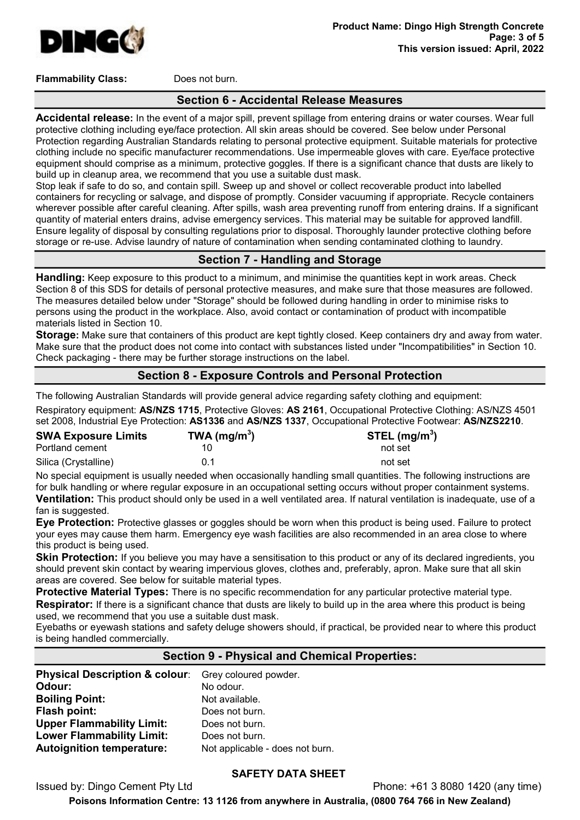

Flammability Class: Does not burn.

#### Section 6 - Accidental Release Measures

Accidental release: In the event of a major spill, prevent spillage from entering drains or water courses. Wear full protective clothing including eye/face protection. All skin areas should be covered. See below under Personal Protection regarding Australian Standards relating to personal protective equipment. Suitable materials for protective clothing include no specific manufacturer recommendations. Use impermeable gloves with care. Eye/face protective equipment should comprise as a minimum, protective goggles. If there is a significant chance that dusts are likely to build up in cleanup area, we recommend that you use a suitable dust mask.

Stop leak if safe to do so, and contain spill. Sweep up and shovel or collect recoverable product into labelled containers for recycling or salvage, and dispose of promptly. Consider vacuuming if appropriate. Recycle containers wherever possible after careful cleaning. After spills, wash area preventing runoff from entering drains. If a significant quantity of material enters drains, advise emergency services. This material may be suitable for approved landfill. Ensure legality of disposal by consulting regulations prior to disposal. Thoroughly launder protective clothing before storage or re-use. Advise laundry of nature of contamination when sending contaminated clothing to laundry.

## Section 7 - Handling and Storage

Handling: Keep exposure to this product to a minimum, and minimise the quantities kept in work areas. Check Section 8 of this SDS for details of personal protective measures, and make sure that those measures are followed. The measures detailed below under "Storage" should be followed during handling in order to minimise risks to persons using the product in the workplace. Also, avoid contact or contamination of product with incompatible materials listed in Section 10.

Storage: Make sure that containers of this product are kept tightly closed. Keep containers dry and away from water. Make sure that the product does not come into contact with substances listed under "Incompatibilities" in Section 10. Check packaging - there may be further storage instructions on the label.

# Section 8 - Exposure Controls and Personal Protection

The following Australian Standards will provide general advice regarding safety clothing and equipment: Respiratory equipment: AS/NZS 1715, Protective Gloves: AS 2161, Occupational Protective Clothing: AS/NZS 4501 set 2008, Industrial Eye Protection: AS1336 and AS/NZS 1337, Occupational Protective Footwear: AS/NZS2210.

| <b>SWA Exposure Limits</b> | TWA (mg/m <sup>3</sup> ) | STEL $(mg/m3)$ |
|----------------------------|--------------------------|----------------|
| Portland cement            |                          | not set        |
| Silica (Crystalline)       | በ 1                      | not set        |

No special equipment is usually needed when occasionally handling small quantities. The following instructions are for bulk handling or where regular exposure in an occupational setting occurs without proper containment systems. Ventilation: This product should only be used in a well ventilated area. If natural ventilation is inadequate, use of a fan is suggested.

Eye Protection: Protective glasses or goggles should be worn when this product is being used. Failure to protect your eyes may cause them harm. Emergency eye wash facilities are also recommended in an area close to where this product is being used.

**Skin Protection:** If you believe you may have a sensitisation to this product or any of its declared ingredients, you should prevent skin contact by wearing impervious gloves, clothes and, preferably, apron. Make sure that all skin areas are covered. See below for suitable material types.

**Protective Material Types:** There is no specific recommendation for any particular protective material type. Respirator: If there is a significant chance that dusts are likely to build up in the area where this product is being used, we recommend that you use a suitable dust mask.

Eyebaths or eyewash stations and safety deluge showers should, if practical, be provided near to where this product is being handled commercially.

#### Section 9 - Physical and Chemical Properties:

Physical Description & colour: Grey coloured powder. Odour: No odour. **Boiling Point:** Not available. Flash point: Does not burn. Upper Flammability Limit: Does not burn. Lower Flammability Limit: Does not burn. Autoignition temperature: Not applicable - does not burn.

#### SAFETY DATA SHEET

Issued by: Dingo Cement Pty Ltd Phone: +61 3 8080 1420 (any time)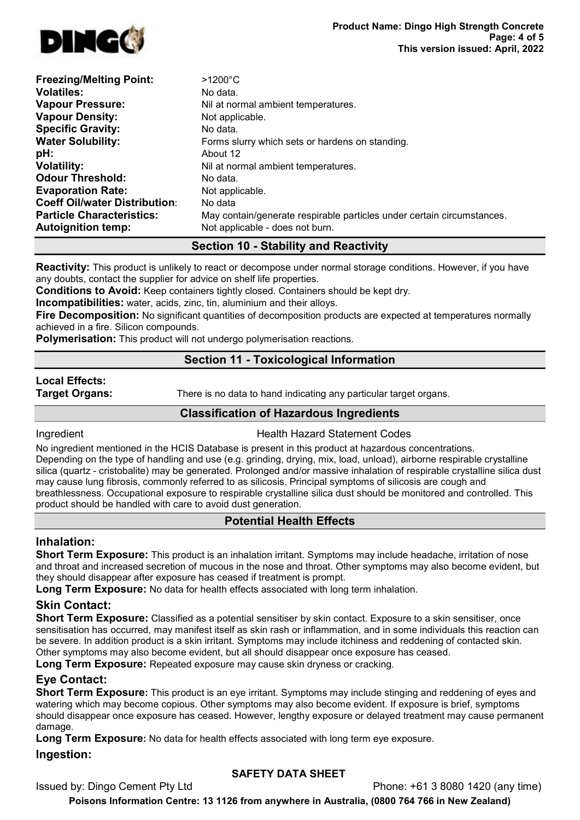

| <b>Freezing/Melting Point:</b>       | $>1200^{\circ}$ C                                                      |
|--------------------------------------|------------------------------------------------------------------------|
| <b>Volatiles:</b>                    | No data.                                                               |
| <b>Vapour Pressure:</b>              | Nil at normal ambient temperatures.                                    |
| <b>Vapour Density:</b>               | Not applicable.                                                        |
| <b>Specific Gravity:</b>             | No data.                                                               |
| <b>Water Solubility:</b>             | Forms slurry which sets or hardens on standing.                        |
| pH:                                  | About 12                                                               |
| <b>Volatility:</b>                   | Nil at normal ambient temperatures.                                    |
| <b>Odour Threshold:</b>              | No data.                                                               |
| <b>Evaporation Rate:</b>             | Not applicable.                                                        |
| <b>Coeff Oil/water Distribution:</b> | No data                                                                |
| <b>Particle Characteristics:</b>     | May contain/generate respirable particles under certain circumstances. |
| <b>Autoignition temp:</b>            | Not applicable - does not burn.                                        |

# Section 10 - Stability and Reactivity

Reactivity: This product is unlikely to react or decompose under normal storage conditions. However, if you have any doubts, contact the supplier for advice on shelf life properties.

Conditions to Avoid: Keep containers tightly closed. Containers should be kept dry.

Incompatibilities: water, acids, zinc, tin, aluminium and their alloys.

Fire Decomposition: No significant quantities of decomposition products are expected at temperatures normally achieved in a fire. Silicon compounds.

**Polymerisation:** This product will not undergo polymerisation reactions.

## Section 11 - Toxicological Information

# Local Effects:

**Target Organs:** There is no data to hand indicating any particular target organs.

## Classification of Hazardous Ingredients

**Ingredient Codes Health Hazard Statement Codes** 

No ingredient mentioned in the HCIS Database is present in this product at hazardous concentrations. Depending on the type of handling and use (e.g. grinding, drying, mix, load, unload), airborne respirable crystalline silica (quartz - cristobalite) may be generated. Prolonged and/or massive inhalation of respirable crystalline silica dust may cause lung fibrosis, commonly referred to as silicosis. Principal symptoms of silicosis are cough and breathlessness. Occupational exposure to respirable crystalline silica dust should be monitored and controlled. This product should be handled with care to avoid dust generation.

# Potential Health Effects

#### Inhalation:

Short Term Exposure: This product is an inhalation irritant. Symptoms may include headache, irritation of nose and throat and increased secretion of mucous in the nose and throat. Other symptoms may also become evident, but they should disappear after exposure has ceased if treatment is prompt.

Long Term Exposure: No data for health effects associated with long term inhalation.

# Skin Contact:

Short Term Exposure: Classified as a potential sensitiser by skin contact. Exposure to a skin sensitiser, once sensitisation has occurred, may manifest itself as skin rash or inflammation, and in some individuals this reaction can be severe. In addition product is a skin irritant. Symptoms may include itchiness and reddening of contacted skin. Other symptoms may also become evident, but all should disappear once exposure has ceased.

Long Term Exposure: Repeated exposure may cause skin dryness or cracking.

# Eye Contact:

Short Term Exposure: This product is an eye irritant. Symptoms may include stinging and reddening of eyes and watering which may become copious. Other symptoms may also become evident. If exposure is brief, symptoms should disappear once exposure has ceased. However, lengthy exposure or delayed treatment may cause permanent damage.

Long Term Exposure: No data for health effects associated with long term eye exposure.

#### Ingestion:

## SAFETY DATA SHEET

Issued by: Dingo Cement Pty Ltd Phone: +61 3 8080 1420 (any time)